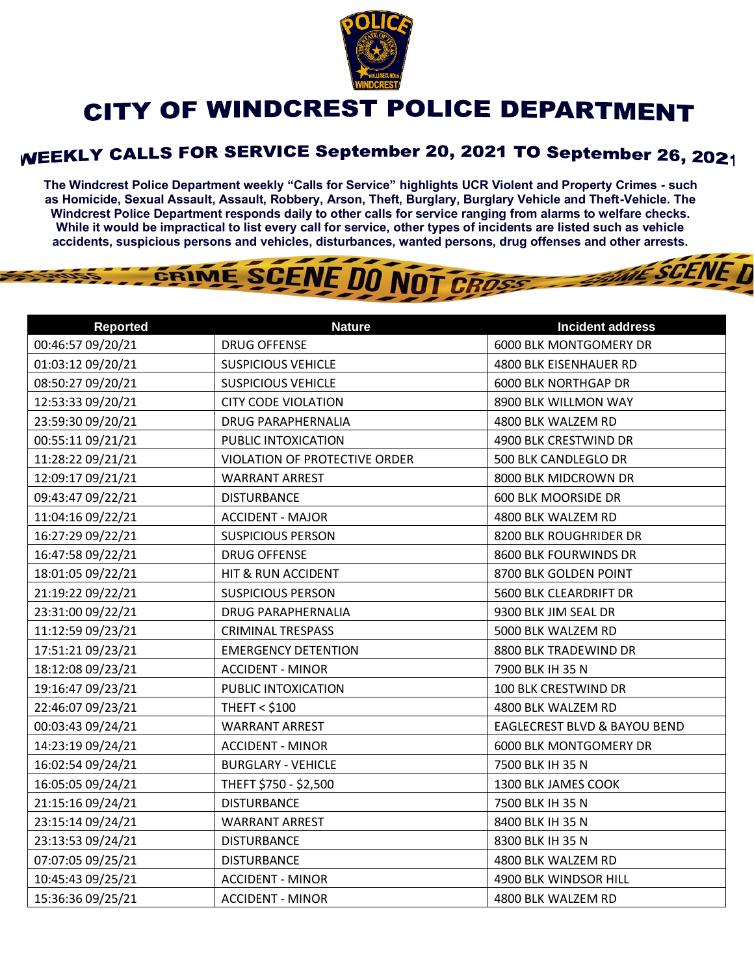

## CITY OF WINDCREST POLICE DEPARTMENT

## WEEKLY CALLS FOR SERVICE September 20, 2021 TO September 26, 2021

**The Windcrest Police Department weekly "Calls for Service" highlights UCR Violent and Property Crimes - such as Homicide, Sexual Assault, Assault, Robbery, Arson, Theft, Burglary, Burglary Vehicle and Theft-Vehicle. The Windcrest Police Department responds daily to other calls for service ranging from alarms to welfare checks. While it would be impractical to list every call for service, other types of incidents are listed such as vehicle accidents, suspicious persons and vehicles, disturbances, wanted persons, drug offenses and other arrests.** 

**THE SCENE D** 

## GRIME SCENE DO NOT CROSS

| <b>Reported</b>   | <b>Nature</b>                        | <b>Incident address</b>                 |
|-------------------|--------------------------------------|-----------------------------------------|
| 00:46:57 09/20/21 | <b>DRUG OFFENSE</b>                  | 6000 BLK MONTGOMERY DR                  |
| 01:03:12 09/20/21 | <b>SUSPICIOUS VEHICLE</b>            | 4800 BLK EISENHAUER RD                  |
| 08:50:27 09/20/21 | <b>SUSPICIOUS VEHICLE</b>            | <b>6000 BLK NORTHGAP DR</b>             |
| 12:53:33 09/20/21 | <b>CITY CODE VIOLATION</b>           | 8900 BLK WILLMON WAY                    |
| 23:59:30 09/20/21 | <b>DRUG PARAPHERNALIA</b>            | 4800 BLK WALZEM RD                      |
| 00:55:11 09/21/21 | PUBLIC INTOXICATION                  | 4900 BLK CRESTWIND DR                   |
| 11:28:22 09/21/21 | <b>VIOLATION OF PROTECTIVE ORDER</b> | 500 BLK CANDLEGLO DR                    |
| 12:09:17 09/21/21 | <b>WARRANT ARREST</b>                | 8000 BLK MIDCROWN DR                    |
| 09:43:47 09/22/21 | <b>DISTURBANCE</b>                   | <b>600 BLK MOORSIDE DR</b>              |
| 11:04:16 09/22/21 | <b>ACCIDENT - MAJOR</b>              | 4800 BLK WALZEM RD                      |
| 16:27:29 09/22/21 | <b>SUSPICIOUS PERSON</b>             | 8200 BLK ROUGHRIDER DR                  |
| 16:47:58 09/22/21 | <b>DRUG OFFENSE</b>                  | 8600 BLK FOURWINDS DR                   |
| 18:01:05 09/22/21 | HIT & RUN ACCIDENT                   | 8700 BLK GOLDEN POINT                   |
| 21:19:22 09/22/21 | <b>SUSPICIOUS PERSON</b>             | 5600 BLK CLEARDRIFT DR                  |
| 23:31:00 09/22/21 | <b>DRUG PARAPHERNALIA</b>            | 9300 BLK JIM SEAL DR                    |
| 11:12:59 09/23/21 | <b>CRIMINAL TRESPASS</b>             | 5000 BLK WALZEM RD                      |
| 17:51:21 09/23/21 | <b>EMERGENCY DETENTION</b>           | 8800 BLK TRADEWIND DR                   |
| 18:12:08 09/23/21 | <b>ACCIDENT - MINOR</b>              | 7900 BLK IH 35 N                        |
| 19:16:47 09/23/21 | PUBLIC INTOXICATION                  | 100 BLK CRESTWIND DR                    |
| 22:46:07 09/23/21 | <b>THEFT &lt; \$100</b>              | 4800 BLK WALZEM RD                      |
| 00:03:43 09/24/21 | <b>WARRANT ARREST</b>                | <b>EAGLECREST BLVD &amp; BAYOU BEND</b> |
| 14:23:19 09/24/21 | <b>ACCIDENT - MINOR</b>              | <b>6000 BLK MONTGOMERY DR</b>           |
| 16:02:54 09/24/21 | <b>BURGLARY - VEHICLE</b>            | 7500 BLK IH 35 N                        |
| 16:05:05 09/24/21 | THEFT \$750 - \$2,500                | 1300 BLK JAMES COOK                     |
| 21:15:16 09/24/21 | <b>DISTURBANCE</b>                   | 7500 BLK IH 35 N                        |
| 23:15:14 09/24/21 | <b>WARRANT ARREST</b>                | 8400 BLK IH 35 N                        |
| 23:13:53 09/24/21 | <b>DISTURBANCE</b>                   | 8300 BLK IH 35 N                        |
| 07:07:05 09/25/21 | <b>DISTURBANCE</b>                   | 4800 BLK WALZEM RD                      |
| 10:45:43 09/25/21 | <b>ACCIDENT - MINOR</b>              | 4900 BLK WINDSOR HILL                   |
| 15:36:36 09/25/21 | <b>ACCIDENT - MINOR</b>              | 4800 BLK WALZEM RD                      |